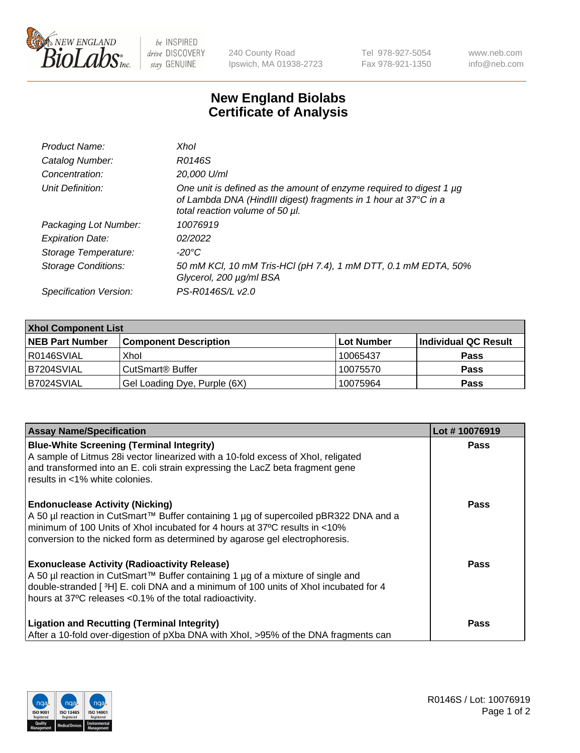

 $be$  INSPIRED drive DISCOVERY stay GENUINE

240 County Road Ipswich, MA 01938-2723 Tel 978-927-5054 Fax 978-921-1350 www.neb.com info@neb.com

## **New England Biolabs Certificate of Analysis**

| Product Name:              | Xhol                                                                                                                                                                      |
|----------------------------|---------------------------------------------------------------------------------------------------------------------------------------------------------------------------|
| Catalog Number:            | R0146S                                                                                                                                                                    |
| Concentration:             | 20,000 U/ml                                                                                                                                                               |
| Unit Definition:           | One unit is defined as the amount of enzyme required to digest 1 µg<br>of Lambda DNA (HindIII digest) fragments in 1 hour at 37°C in a<br>total reaction volume of 50 µl. |
| Packaging Lot Number:      | 10076919                                                                                                                                                                  |
| <b>Expiration Date:</b>    | 02/2022                                                                                                                                                                   |
| Storage Temperature:       | -20°C                                                                                                                                                                     |
| <b>Storage Conditions:</b> | 50 mM KCl, 10 mM Tris-HCl (pH 7.4), 1 mM DTT, 0.1 mM EDTA, 50%<br>Glycerol, 200 µg/ml BSA                                                                                 |
| Specification Version:     | PS-R0146S/L v2.0                                                                                                                                                          |

| <b>Xhol Component List</b> |                              |             |                      |  |  |
|----------------------------|------------------------------|-------------|----------------------|--|--|
| <b>NEB Part Number</b>     | <b>Component Description</b> | ∣Lot Number | Individual QC Result |  |  |
| R0146SVIAL                 | Xhol                         | 10065437    | <b>Pass</b>          |  |  |
| B7204SVIAL                 | CutSmart® Buffer             | 10075570    | <b>Pass</b>          |  |  |
| B7024SVIAL                 | Gel Loading Dye, Purple (6X) | 10075964    | <b>Pass</b>          |  |  |

| <b>Assay Name/Specification</b>                                                                                                                                                                                                                                                             | Lot #10076919 |
|---------------------------------------------------------------------------------------------------------------------------------------------------------------------------------------------------------------------------------------------------------------------------------------------|---------------|
| <b>Blue-White Screening (Terminal Integrity)</b><br>A sample of Litmus 28i vector linearized with a 10-fold excess of Xhol, religated<br>and transformed into an E. coli strain expressing the LacZ beta fragment gene<br>results in <1% white colonies.                                    | <b>Pass</b>   |
| <b>Endonuclease Activity (Nicking)</b><br>A 50 µl reaction in CutSmart™ Buffer containing 1 µg of supercoiled pBR322 DNA and a<br>minimum of 100 Units of Xhol incubated for 4 hours at 37°C results in <10%<br>conversion to the nicked form as determined by agarose gel electrophoresis. | <b>Pass</b>   |
| <b>Exonuclease Activity (Radioactivity Release)</b><br>A 50 µl reaction in CutSmart™ Buffer containing 1 µg of a mixture of single and<br>double-stranded [3H] E. coli DNA and a minimum of 100 units of Xhol incubated for 4<br>hours at 37°C releases <0.1% of the total radioactivity.   | Pass          |
| <b>Ligation and Recutting (Terminal Integrity)</b><br>After a 10-fold over-digestion of pXba DNA with Xhol, >95% of the DNA fragments can                                                                                                                                                   | <b>Pass</b>   |